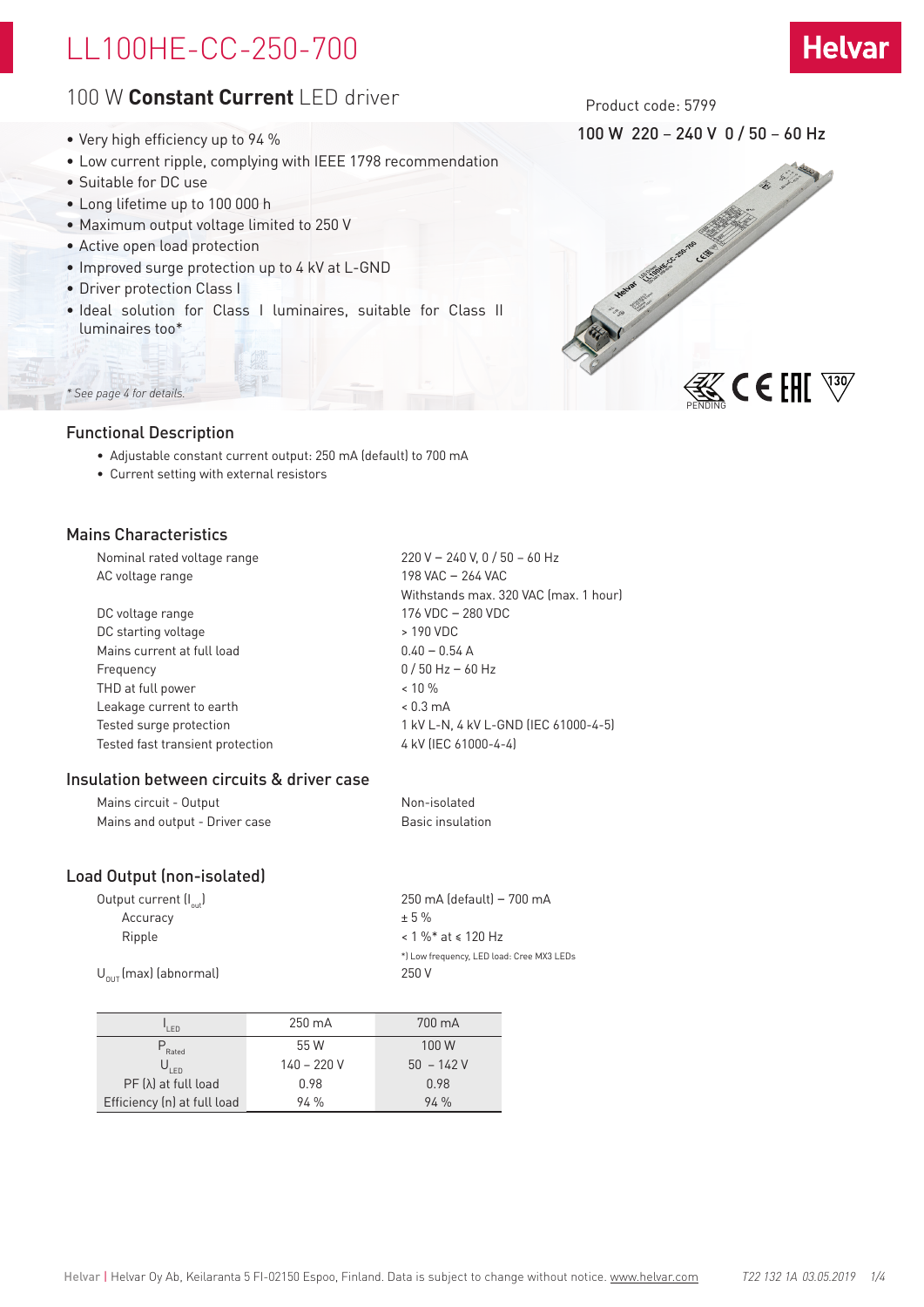## LL100HE-CC-250-700

## 100 W **Constant Current** LED driver

- Very high efficiency up to 94 %
- Low current ripple, complying with IEEE 1798 recommendation
- Suitable for DC use
- Long lifetime up to 100 000 h
- Maximum output voltage limited to 250 V
- Active open load protection
- Improved surge protection up to 4 kV at L-GND
- Driver protection Class I
- Ideal solution for Class I luminaires, suitable for Class II luminaires too\*

## *\* See page 4 for details.*

## Functional Description

- Adjustable constant current output: 250 mA (default) to 700 mA
- Current setting with external resistors

## Mains Characteristics

| Nominal rated voltage range      | 220 V - 240 V, 0 / 50 - 60 Hz         |
|----------------------------------|---------------------------------------|
| AC voltage range                 | 198 VAC - 264 VAC                     |
|                                  | Withstands max. 320 VAC (max. 1 hour) |
| DC voltage range                 | 176 VDC - 280 VDC                     |
| DC starting voltage              | > 190 VDC                             |
| Mains current at full load       | $0.40 - 0.54$ A                       |
| Frequency                        | $0/50$ Hz - 60 Hz                     |
| THD at full power                | $< 10 \%$                             |
| Leakage current to earth         | $< 0.3 \text{ mA}$                    |
| Tested surge protection          | 1 kV L-N, 4 kV L-GND (IEC 61000-4-5)  |
| Tested fast transient protection | 4 kV (IEC 61000-4-4)                  |
|                                  |                                       |

## Insulation between circuits & driver case

| Mains circuit - Output         | Non-isolated     |
|--------------------------------|------------------|
| Mains and output - Driver case | Basic insulation |

## Load Output (non-isolated)

| Output current (I <sub>out</sub> ) | 250 mA (default) - 700 mA                 |
|------------------------------------|-------------------------------------------|
| Accuracy                           | $+5%$                                     |
| Ripple                             | $< 1 \%$ * at $\le 120$ Hz                |
|                                    | *) Low frequency, LED load: Cree MX3 LEDs |
| $U_{\text{out}}$ (max) (abnormal)  | 250 V                                     |
|                                    |                                           |

| I FD                        | 250 mA        | 700 mA      |
|-----------------------------|---------------|-------------|
| $P_{\text{Rated}}$          | 55 W          | 100 W       |
| $U_{LED}$                   | $140 - 220 V$ | $50 - 142V$ |
| $PF(\lambda)$ at full load  | 0.98          | 0.98        |
| Efficiency (n) at full load | 94%           | 94%         |

Product code: 5799

100 W 220 – 240 V 0 / 50 – 60 Hz

**Helvar** 

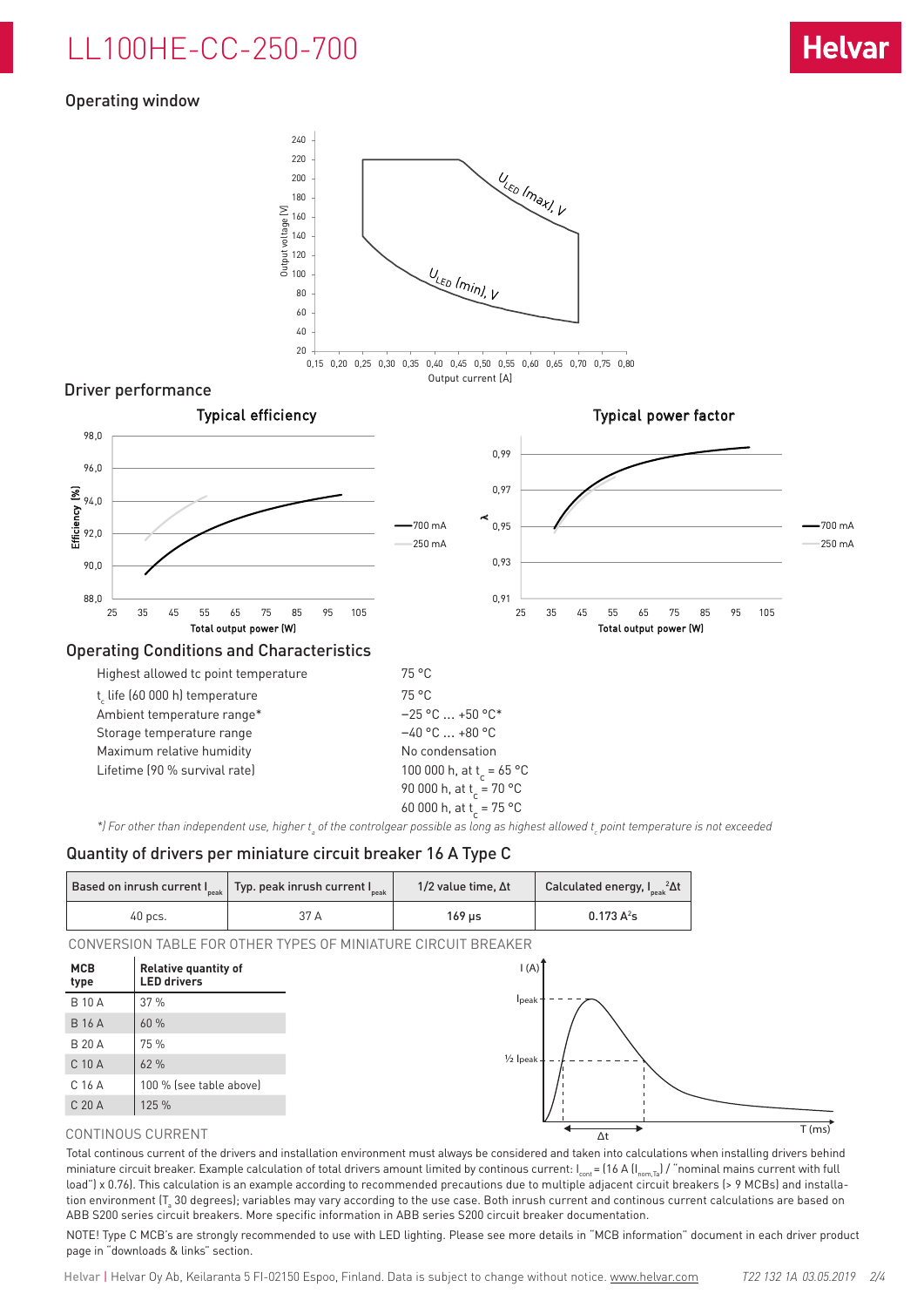# LL100HE-CC-250-700

## Operating window



### Driver performance



\*) For other than independent use, higher t<sub>a</sub> of the controlgear possible as long as highest allowed t<sub>c</sub> point temperature is not exceeded

#### Quantity of drivers per miniature circuit breaker 16 A Type C

|           | Based on inrush current $ $ <sub>peak</sub>   Typ. peak inrush current $ $ <sub>peak</sub> | 1/2 value time, $\Delta t$ | Calculated energy, $I_{\rm peak}^2 \Delta t$ |  |  |
|-----------|--------------------------------------------------------------------------------------------|----------------------------|----------------------------------------------|--|--|
| $40$ pcs. | 37 A                                                                                       | 169 us                     | $0.173 A^2s$                                 |  |  |

CONVERSION TABLE FOR OTHER TYPES OF MINIATURE CIRCUIT BREAKER



#### CONTINOUS CURRENT

Total continous current of the drivers and installation environment must always be considered and taken into calculations when installing drivers behind miniature circuit breaker. Example calculation of total drivers amount limited by continous current:  $I_{cont} = (16 \text{ A } II_{norm, Ta})$  / "nominal mains current with full load") x 0.76). This calculation is an example according to recommended precautions due to multiple adjacent circuit breakers (> 9 MCBs) and installation environment (T $_{\rm s}$  30 degrees); variables may vary according to the use case. Both inrush current and continous current calculations are based on ABB S200 series circuit breakers. More specific information in ABB series S200 circuit breaker documentation.

NOTE! Type C MCB's are strongly recommended to use with LED lighting. Please see more details in "MCB information" document in each driver product page in "downloads & links" section.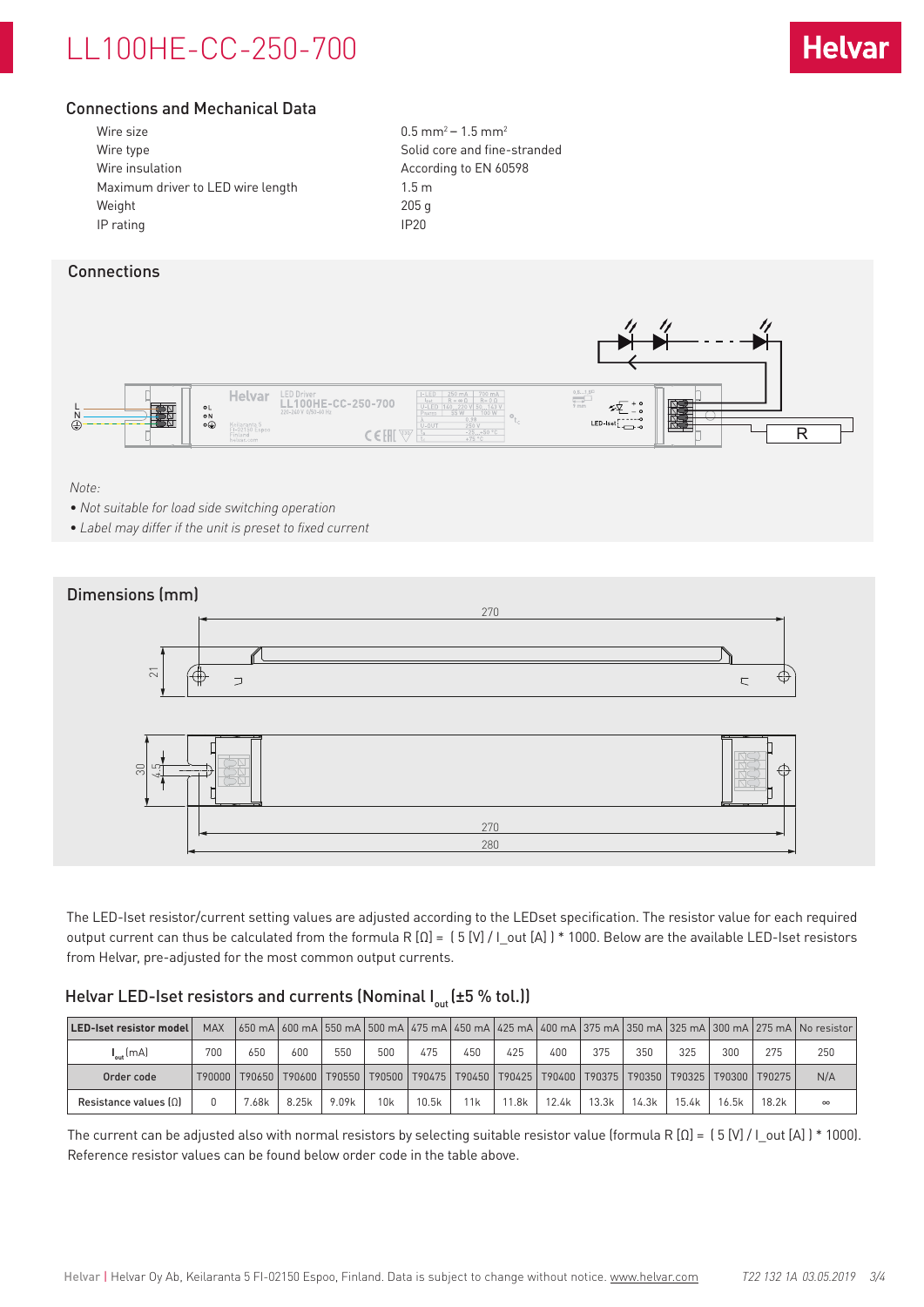# LL100HE-CC-250-700



## Connections and Mechanical Data

| Wire size                         | 0.5 <sub>m</sub> |
|-----------------------------------|------------------|
| Wire type                         | Solid            |
| Wire insulation                   | Accor            |
| Maximum driver to LED wire length | $1.5 \text{ m}$  |
| Weight                            | 205q             |
| IP rating                         | IP <sub>20</sub> |

 $0.5$  mm<sup>2</sup> – 1.5 mm<sup>2</sup> Solid core and fine-stranded According to EN 60598

## **Connections**



### *Note:*

- *• Not suitable for load side switching operation*
- *• Label may differ if the unit is preset to fixed current*



The LED-Iset resistor/current setting values are adjusted according to the LEDset specification. The resistor value for each required output current can thus be calculated from the formula R [Ω] = ( 5 [V] / I\_out [A] ) \* 1000. Below are the available LED-Iset resistors from Helvar, pre-adjusted for the most common output currents.

## Helvar LED-Iset resistors and currents (Nominal  $I_{out}$  (±5 % tol.))

| LED-Iset resistor model | <b>MAX</b> |                                                                                                                             |       |       |     |       |     |       |       |       |       |       |       |       | 650 mA   600 mA   550 mA   500 mA   475 mA   450 mA   425 mA   400 mA   375 mA   350 mA   325 mA   300 mA   275 mA   No resistor |
|-------------------------|------------|-----------------------------------------------------------------------------------------------------------------------------|-------|-------|-----|-------|-----|-------|-------|-------|-------|-------|-------|-------|----------------------------------------------------------------------------------------------------------------------------------|
| $I_{\ldots}$ (mA)       | 700        | 650                                                                                                                         | 600   | 550   | 500 | 475   | 450 | 425   | 400   | 375   | 350   | 325   | 300   | 275   | 250                                                                                                                              |
| Order code              |            | T90000   T90650   T90600   T90550   T90500   T90475   T90450   T90425   T90400   T90375   T90300   T90325   T90300   T90275 |       |       |     |       |     |       |       |       |       |       |       |       | N/A                                                                                                                              |
| Resistance values $[0]$ |            | .68k                                                                                                                        | 8.25k | 9.09k | 10k | 10.5k | 11k | 11.8k | 12.4k | 13.3k | 14.3k | 15.4k | 16.5k | 18.2k | $\infty$                                                                                                                         |

The current can be adjusted also with normal resistors by selecting suitable resistor value (formula R  $[Ω] = [5 [V] / I$  out  $[A]$  ) \* 1000). Reference resistor values can be found below order code in the table above.